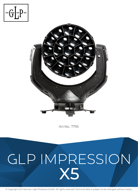



Art.No.: 7795

# **GLP IMPRESSION X5**